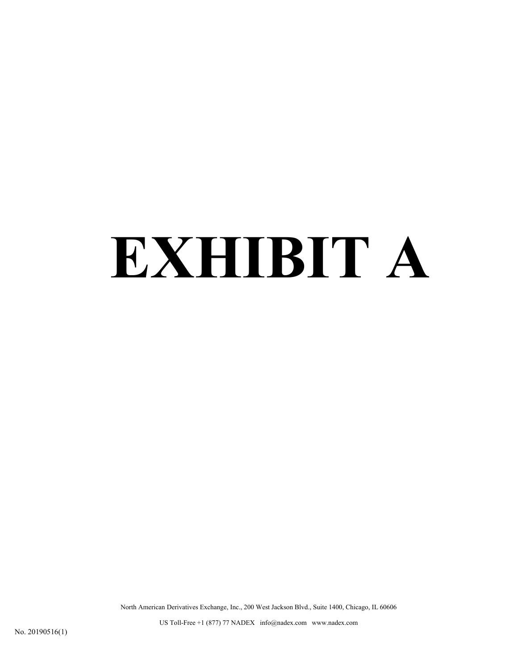# **EXHIBIT A**

North American Derivatives Exchange, Inc., 200 West Jackson Blvd., Suite 1400, Chicago, IL 60606

US Toll-Free +1 (877) 77 NADEX info@nadex.com www.nadex.com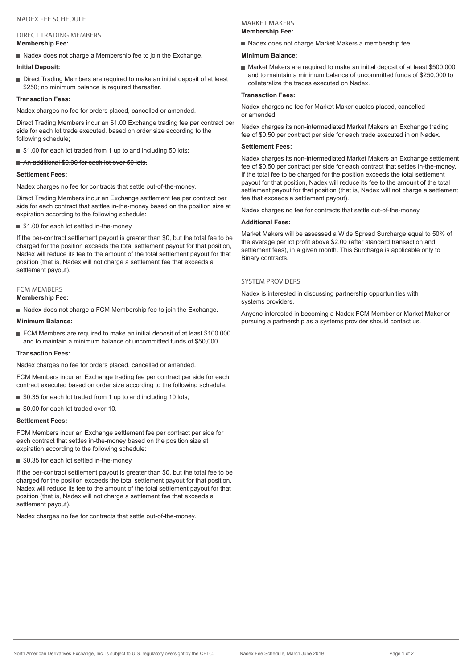#### DIRECT TRADING MEMBERS **Membership Fee:**

Nadex does not charge a Membership fee to join the Exchange.

#### **Initial Deposit:**

Direct Trading Members are required to make an initial deposit of at least \$250; no minimum balance is required thereafter.

#### **Transaction Fees:**

Nadex charges no fee for orders placed, cancelled or amended.

Direct Trading Members incur an \$1.00 Exchange trading fee per contract per side for each lot trade executed. based on order size according to the following schedule:

#### \$1.00 for each lot traded from 1 up to and including 50 lots;

An additional \$0.00 for each lot over 50 lots.

#### **Settlement Fees:**

Nadex charges no fee for contracts that settle out-of-the-money.

Direct Trading Members incur an Exchange settlement fee per contract per side for each contract that settles in-the-money based on the position size at expiration according to the following schedule:

■ \$1.00 for each lot settled in-the-money.

If the per-contract settlement payout is greater than \$0, but the total fee to be charged for the position exceeds the total settlement payout for that position, Nadex will reduce its fee to the amount of the total settlement payout for that position (that is, Nadex will not charge a settlement fee that exceeds a settlement payout).

# FCM MEMBERS

**Membership Fee:**

Nadex does not charge a FCM Membership fee to join the Exchange.

#### **Minimum Balance:**

FCM Members are required to make an initial deposit of at least \$100,000 and to maintain a minimum balance of uncommitted funds of \$50,000.

#### **Transaction Fees:**

Nadex charges no fee for orders placed, cancelled or amended.

FCM Members incur an Exchange trading fee per contract per side for each contract executed based on order size according to the following schedule:

- \$0.35 for each lot traded from 1 up to and including 10 lots;
- \$0.00 for each lot traded over 10.

#### **Settlement Fees:**

FCM Members incur an Exchange settlement fee per contract per side for each contract that settles in-the-money based on the position size at expiration according to the following schedule:

■ \$0.35 for each lot settled in-the-money.

If the per-contract settlement payout is greater than \$0, but the total fee to be charged for the position exceeds the total settlement payout for that position, Nadex will reduce its fee to the amount of the total settlement payout for that position (that is, Nadex will not charge a settlement fee that exceeds a settlement payout).

Nadex charges no fee for contracts that settle out-of-the-money.

#### MARKET MAKERS **Membership Fee:**

Nadex does not charge Market Makers a membership fee.

#### **Minimum Balance:**

 Market Makers are required to make an initial deposit of at least \$500,000 and to maintain a minimum balance of uncommitted funds of \$250,000 to collateralize the trades executed on Nadex.

#### **Transaction Fees:**

Nadex charges no fee for Market Maker quotes placed, cancelled or amended.

Nadex charges its non-intermediated Market Makers an Exchange trading fee of \$0.50 per contract per side for each trade executed in on Nadex.

#### **Settlement Fees:**

Nadex charges its non-intermediated Market Makers an Exchange settlement fee of \$0.50 per contract per side for each contract that settles in-the-money. If the total fee to be charged for the position exceeds the total settlement payout for that position, Nadex will reduce its fee to the amount of the total settlement payout for that position (that is, Nadex will not charge a settlement fee that exceeds a settlement payout).

Nadex charges no fee for contracts that settle out-of-the-money.

#### **Additional Fees:**

Market Makers will be assessed a Wide Spread Surcharge equal to 50% of the average per lot profit above \$2.00 (after standard transaction and settlement fees), in a given month. This Surcharge is applicable only to Binary contracts.

#### SYSTEM PROVIDERS

Nadex is interested in discussing partnership opportunities with systems providers.

Anyone interested in becoming a Nadex FCM Member or Market Maker or pursuing a partnership as a systems provider should contact us.